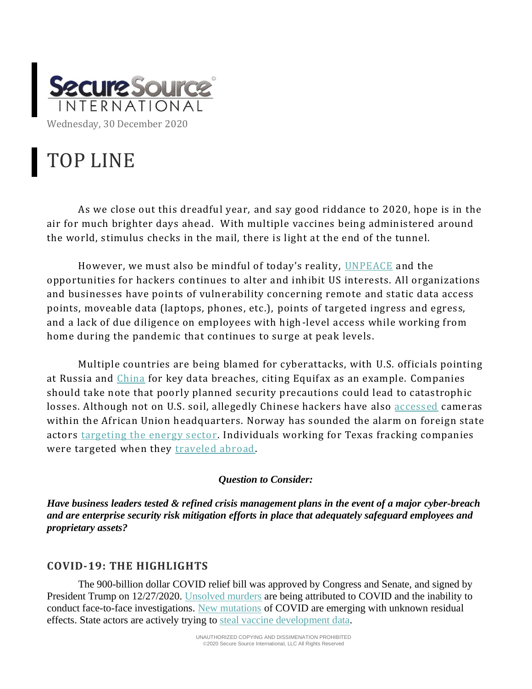

# TOP LINE

As we close out this dreadful year, and say good riddance to 2020, hope is in the air for much brighter days ahead. With multiple vaccines being administered around the world, stimulus checks in the mail, there is light at the end of the tunnel.

However, we must also be mindful of today's reality, [UNPEACE](https://techxplore.com/news/2020-12-massive-breach-espionage-21st-century.html) and the opportunities for hackers continues to alter and inhibit US interests. All organizations and businesses have points of vulnerability concerning remote and static data access points, moveable data (laptops, phones, etc.), points of targeted ingress and egress, and a lack of due diligence on employees with high-level access while working from home during the pandemic that continues to surge at peak levels.

Multiple countries are being blamed for cyberattacks, with U.S. officials pointing at Russia and [China](https://foreignpolicy.com/2020/12/23/china-tech-giants-process-stolen-data-spy-agencies/) for key data breaches, citing Equifax as an example. Companies should take note that poorly planned security precautions could lead to catastrophic losses. Although not on U.S. soil, allegedly Chinese hackers have also [accessed](https://economictimes.indiatimes.com/news/international/world-news/china-uses-huawei-cameras-to-spy-on-african-union-headquarters/articleshow/79981099.cms) cameras within the African Union headquarters. Norway has sounded the alarm on foreign state actors [targeting the energy sector.](https://in.reuters.com/article/norway-oil-security/russian-chinese-intelligence-targeting-norwegian-oil-secrets-report-idUKL8N2IJ4L5) Individuals working for Texas fracking companies were targeted when they [traveled abroad.](https://oilprice.com/Alternative-Energy/Renewable-Energy/Energy-Espionage-Is-Threatening-The-Renewable-Boom.html)

#### *Question to Consider:*

*Have business leaders tested & refined crisis management plans in the event of a major cyber-breach and are enterprise security risk mitigation efforts in place that adequately safeguard employees and proprietary assets?* 

### **COVID-19: THE HIGHLIGHTS**

The 900-billion dollar COVID relief bill was approved by Congress and Senate, and signed by President Trump on 12/27/2020. [Unsolved murders](https://www.wsj.com/articles/police-are-solving-fewer-murders-during-covid-19-pandemic-11608994800) are being attributed to COVID and the inability to conduct face-to-face investigations. [New mutations](https://blogs.sciencemag.org/pipeline/archives/2020/12/22/the-new-mutations) of COVID are emerging with unknown residual effects. State actors are actively trying to [steal vaccine development data.](https://threatpost.com/lazarus-covid-19-vaccine-maker-espionage/162591/)